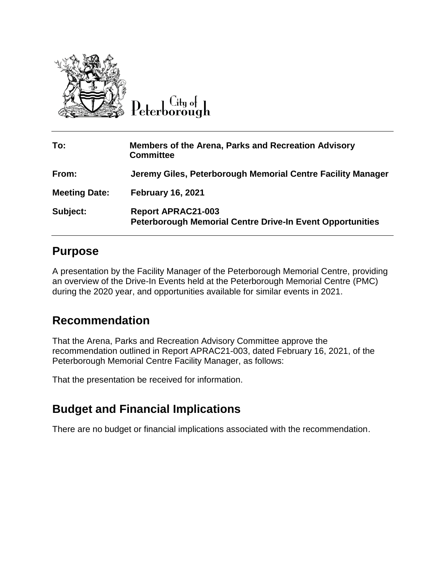

Peterborough

| To:                  | <b>Members of the Arena, Parks and Recreation Advisory</b><br><b>Committee</b>                |
|----------------------|-----------------------------------------------------------------------------------------------|
| From:                | Jeremy Giles, Peterborough Memorial Centre Facility Manager                                   |
| <b>Meeting Date:</b> | <b>February 16, 2021</b>                                                                      |
| Subject:             | <b>Report APRAC21-003</b><br><b>Peterborough Memorial Centre Drive-In Event Opportunities</b> |

#### **Purpose**

A presentation by the Facility Manager of the Peterborough Memorial Centre, providing an overview of the Drive-In Events held at the Peterborough Memorial Centre (PMC) during the 2020 year, and opportunities available for similar events in 2021.

# **Recommendation**

That the Arena, Parks and Recreation Advisory Committee approve the recommendation outlined in Report APRAC21-003, dated February 16, 2021, of the Peterborough Memorial Centre Facility Manager, as follows:

That the presentation be received for information.

# **Budget and Financial Implications**

There are no budget or financial implications associated with the recommendation.